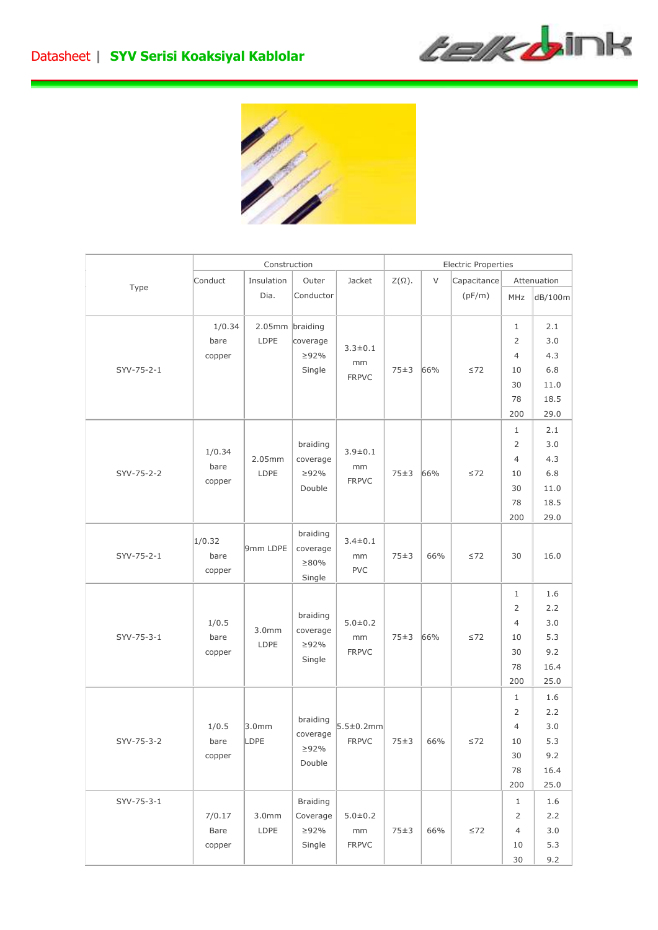



|            | Construction             |                           |                                        |                                   | <b>Electric Properties</b> |     |             |                |             |  |
|------------|--------------------------|---------------------------|----------------------------------------|-----------------------------------|----------------------------|-----|-------------|----------------|-------------|--|
|            | Conduct                  | Insulation                | Outer                                  | Jacket                            | $Z(\Omega)$ .              | V   | Capacitance |                | Attenuation |  |
| Type       |                          | Dia.                      | Conductor                              |                                   |                            |     | (pF/m)      | MHz            | dB/100m     |  |
|            | 1/0.34<br>bare           | 2.05mm braiding<br>LDPE   | coverage                               |                                   |                            |     |             | 1<br>2         | 2.1<br>3.0  |  |
| SYV-75-2-1 | copper                   |                           | ≥92%                                   | $3.3 \pm 0.1$                     |                            |     |             | $\overline{4}$ | 4.3         |  |
|            |                          |                           | Single                                 | mm                                | 75±3                       | 66% | $\leq 72$   | 10             | 6.8         |  |
|            |                          |                           |                                        | <b>FRPVC</b>                      |                            |     |             | 30             | 11.0        |  |
|            |                          |                           |                                        |                                   |                            |     |             | 78             | 18.5        |  |
|            |                          |                           |                                        |                                   |                            |     |             | 200            | 29.0        |  |
|            |                          |                           |                                        |                                   |                            |     |             | 1              | 2.1         |  |
|            | 1/0.34                   |                           | braiding                               | $3.9 \pm 0.1$                     |                            |     |             | $\overline{2}$ | 3.0         |  |
|            | bare                     | 2.05mm                    | coverage                               | mm                                |                            |     |             | $\overline{4}$ | 4.3         |  |
| SYV-75-2-2 | copper                   | LDPE                      | ≥92%                                   | <b>FRPVC</b>                      | 75±3                       | 66% | $\leq 72$   | 10             | 6.8         |  |
|            |                          |                           | Double                                 |                                   |                            |     |             | 30             | 11.0        |  |
|            |                          |                           |                                        |                                   |                            |     |             | 78             | 18.5        |  |
|            |                          |                           |                                        |                                   |                            |     |             | 200            | 29.0        |  |
| SYV-75-2-1 | 1/0.32<br>bare<br>copper | 9mm LDPE                  | braiding<br>coverage<br>≥80%<br>Single | $3.4 \pm 0.1$<br>mm<br><b>PVC</b> | $75 + 3$                   | 66% | $\leq 72$   | 30             | 16.0        |  |
|            | 1/0.5                    |                           | braiding                               | $5.0 + 0.2$                       |                            |     |             | 1              | 1.6         |  |
| SYV-75-3-1 |                          |                           |                                        |                                   |                            |     |             | 2              | 2.2         |  |
|            |                          |                           |                                        |                                   |                            |     |             | $\overline{4}$ | 3.0         |  |
|            | bare                     | 3.0 <sub>mm</sub><br>LDPE | coverage<br>≥92%                       | mm                                | 75±3                       | 66% | $\leq 72$   | 10             | 5.3         |  |
|            | copper                   |                           | Single                                 | <b>FRPVC</b>                      |                            |     |             | 30             | 9.2         |  |
|            |                          |                           |                                        |                                   |                            |     |             | 78             | 16.4        |  |
|            |                          |                           |                                        |                                   |                            |     |             | 200            | 25.0        |  |
| SYV-75-3-2 | 1/0.5<br>bare            | 3.0 <sub>mm</sub><br>LDPE | braiding<br>coverage<br>$\geq 92\%$    | $5.5 \pm 0.2$ mm<br><b>FRPVC</b>  | $75 + 3$                   | 66% | $\leq 72$   | 1              | 1.6         |  |
|            |                          |                           |                                        |                                   |                            |     |             | 2              | 2.2         |  |
|            |                          |                           |                                        |                                   |                            |     |             | 4              | 3.0         |  |
|            |                          |                           |                                        |                                   |                            |     |             | 10             | 5.3         |  |
|            | copper                   |                           | Double                                 |                                   |                            |     |             | 30             | 9.2         |  |
|            |                          |                           |                                        |                                   |                            |     |             | 78             | 16.4        |  |
|            |                          |                           |                                        |                                   |                            |     |             | 200            | 25.0        |  |
| SYV-75-3-1 |                          |                           | <b>Braiding</b>                        |                                   |                            |     |             | $\mathbf{1}$   | 1.6         |  |
|            | 7/0.17                   | 3.0 <sub>mm</sub>         | Coverage                               | $5.0 + 0.2$                       |                            |     |             | $\overline{2}$ | 2.2         |  |
|            | Bare                     | LDPE                      | ≥92%                                   | mm                                | $75\pm3$                   | 66% | $\leq 72$   | $\overline{4}$ | 3.0         |  |
|            | copper                   |                           | Single                                 | <b>FRPVC</b>                      |                            |     |             | 10<br>30       | 5.3<br>9.2  |  |